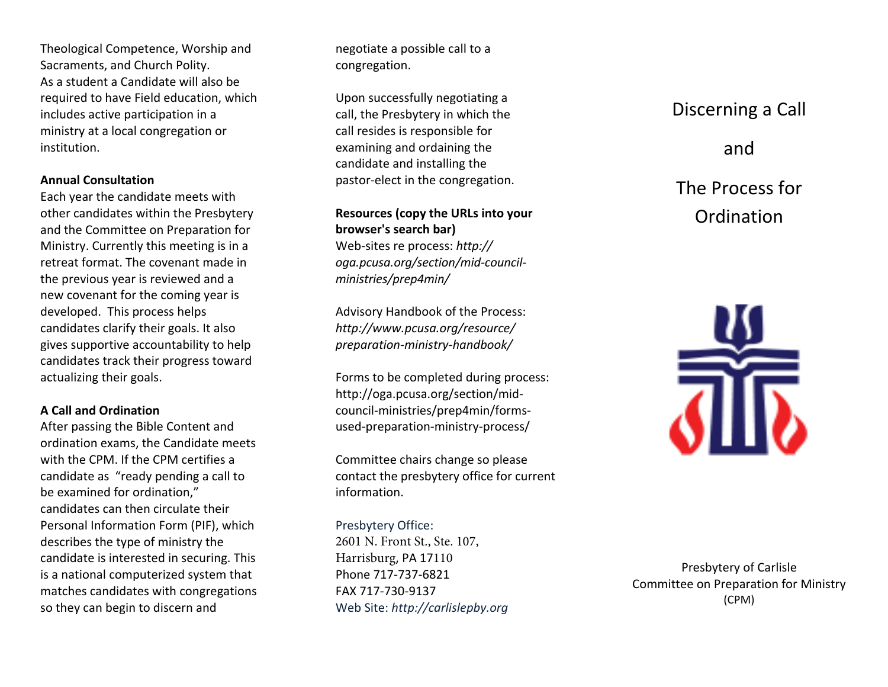Theological Competence, Worship and Sacraments, and Church Polity. As a student <sup>a</sup> Candidate will also be required to have Field education, which includes active participation in <sup>a</sup> ministry at <sup>a</sup> local congregation or institution.

#### **Annual Consultation**

Each year the candidate meets with other candidates within the Presbytery and the Committee on Preparation for Ministry. Currently this meeting is in <sup>a</sup> retreat format. The covenant made inthe previous year is reviewed and <sup>a</sup> new covenant for the coming year is developed. This process helps candidates clarify their goals. It also gives supportive accountability to help candidates track their progress toward actualizing their goals.

#### **A Call and Ordination**

After passing the Bible Content and ordination exams, the Candidate meets with the CPM. If the CPM certifies <sup>a</sup> candidate as "ready pending <sup>a</sup> call to be examined for ordination," candidates can then circulate their Personal Information Form (PIF), which describes the type of ministry the candidate is interested in securing. This is a national computerized system that matches candidates with congregations so they can begin to discern and

negotiate <sup>a</sup> possible call to <sup>a</sup> congregation.

Upon successfully negotiating <sup>a</sup> call, the Presbytery in which the call resides is responsible for examining and ordaining the candidate and installing the pastor‐elect in the congregation.

**Resources (copy the URLs into your browser's search bar)**Web‐sites re process: *http:// oga.pcusa.org/section/mid-councilministries/prep4min/* 

Advisory Handbook of the Process: *[http://www.pcusa.org/resource/](http://www.pcusa.org/resource/preparation-ministry-handbook/)preparation-ministry-handbook/*

Forms to be completed during process: http://oga.pcusa.org/section/midcouncil-ministries/prep4min/formsused-preparation-ministry-process/

Committee chairs change so please contact the presbytery office for current information.

Presbytery Office: 2601 N. Front St., Ste. 107, Harrisburg, PA <sup>17</sup><sup>110</sup> Phone <sup>717</sup>‐737‐<sup>6821</sup>FAX <sup>717</sup>‐730‐<sup>9137</sup> Web Site: *http://carlislepby.org*

# Discerning <sup>a</sup> Call

# and

# The Process for **Ordination**



Presbytery of Carlisle Committee on Preparation for Ministry (CPM)